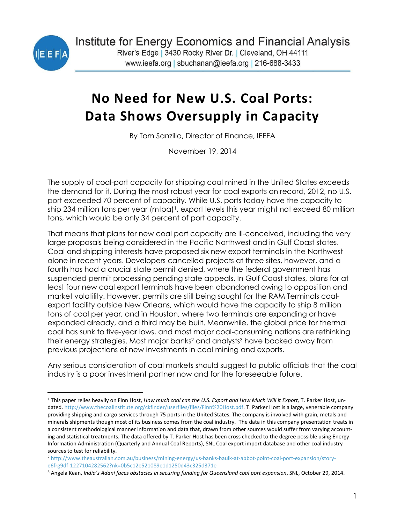

 $\overline{a}$ 

# **No Need for New U.S. Coal Ports: Data Shows Oversupply in Capacity**

By Tom Sanzillo, Director of Finance, IEEFA

November 19, 2014

The supply of coal-port capacity for shipping coal mined in the United States exceeds the demand for it. During the most robust year for coal exports on record, 2012, no U.S. port exceeded 70 percent of capacity. While U.S. ports today have the capacity to ship 234 million tons per year (mtpa)<sup>1</sup>, export levels this year might not exceed 80 million tons, which would be only 34 percent of port capacity.

That means that plans for new coal port capacity are ill-conceived, including the very large proposals being considered in the Pacific Northwest and in Gulf Coast states. Coal and shipping interests have proposed six new export terminals in the Northwest alone in recent years. Developers cancelled projects at three sites, however, and a fourth has had a crucial state permit denied, where the federal government has suspended permit processing pending state appeals. In Gulf Coast states, plans for at least four new coal export terminals have been abandoned owing to opposition and market volatility. However, permits are still being sought for the RAM Terminals coalexport facility outside New Orleans, which would have the capacity to ship 8 million tons of coal per year, and in Houston, where two terminals are expanding or have expanded already, and a third may be built. Meanwhile, the global price for thermal coal has sunk to five-year lows, and most major coal-consuming nations are rethinking their energy strategies. Most major banks<sup>2</sup> and analysts<sup>3</sup> have backed away from previous projections of new investments in coal mining and exports.

Any serious consideration of coal markets should suggest to public officials that the coal industry is a poor investment partner now and for the foreseeable future.

<sup>1</sup> This paper relies heavily on Finn Host, *How much coal can the U.S. Export and How Much Will it Export,* T. Parker Host, undated. [http://www.thecoalinstitute.org/ckfinder/userfiles/files/Finn%20Host.pdf.](http://www.thecoalinstitute.org/ckfinder/userfiles/files/Finn%25252520Host.pdf) T. Parker Host is a large, venerable company providing shipping and cargo services through 75 ports in the United States. The company is involved with grain, metals and minerals shipments though most of its business comes from the coal industry. The data in this company presentation treats in a consistent methodological manner information and data that, drawn from other sources would suffer from varying accounting and statistical treatments. The data offered by T. Parker Host has been cross checked to the degree possible using Energy Information Administration (Quarterly and Annual Coal Reports), SNL Coal export import database and other coal industry sources to test for reliability.

<sup>2</sup> [http://www.theaustralian.com.au/business/mining-energy/us-banks-baulk-at-abbot-point-coal-port-expansion/story](http://www.theaustralian.com.au/business/mining-energy/us-banks-baulk-at-abbot-point-coal-port-expansion/story-e6frg9df-1227104282562?nk=0b5c12e521089e1d1250d43c325d371e)[e6frg9df-1227104282562?nk=0b5c12e521089e1d1250d43c325d371e](http://www.theaustralian.com.au/business/mining-energy/us-banks-baulk-at-abbot-point-coal-port-expansion/story-e6frg9df-1227104282562?nk=0b5c12e521089e1d1250d43c325d371e)

<sup>3</sup> Angela Kean, *India's Adani faces obstacles in securing funding for Queensland coal port expansion*, SNL, October 29, 2014.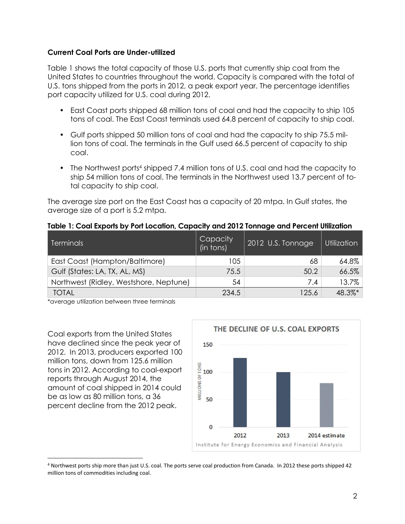### **Current Coal Ports are Under-utilized**

Table 1 shows the total capacity of those U.S. ports that currently ship coal from the United States to countries throughout the world. Capacity is compared with the total of U.S. tons shipped from the ports in 2012, a peak export year. The percentage identifies port capacity utilized for U.S. coal during 2012.

- East Coast ports shipped 68 million tons of coal and had the capacity to ship 105 tons of coal. The East Coast terminals used 64.8 percent of capacity to ship coal.
- Gulf ports shipped 50 million tons of coal and had the capacity to ship 75.5 million tons of coal. The terminals in the Gulf used 66.5 percent of capacity to ship coal.
- The Northwest ports<sup>4</sup> shipped 7.4 million tons of U.S. coal and had the capacity to ship 54 million tons of coal. The terminals in the Northwest used 13.7 percent of total capacity to ship coal.

The average size port on the East Coast has a capacity of 20 mtpa. In Gulf states, the average size of a port is 5.2 mtpa.

|  |  |  |  |  |  | Table 1: Coal Exports by Port Location, Capacity and 2012 Tonnage and Percent Utilization |
|--|--|--|--|--|--|-------------------------------------------------------------------------------------------|
|--|--|--|--|--|--|-------------------------------------------------------------------------------------------|

| <b>Terminals</b>                       | Capacity<br>(in tons) | 2012 U.S. Tonnage | Utilization |
|----------------------------------------|-----------------------|-------------------|-------------|
| East Coast (Hampton/Baltimore)         | 105                   | 68                | 64.8%       |
| Gulf (States: LA, TX, AL, MS)          | 75.5                  | 50.2              | 66.5%       |
| Northwest (Ridley, Westshore, Neptune) | 54                    | 7.4               | 13.7%       |
| <b>TOTAL</b>                           | 234.5                 | 125.6             | 48.3%*      |

\*average utilization between three terminals

Coal exports from the United States have declined since the peak year of 2012. In 2013, producers exported 100 million tons, down from 125.6 million tons in 2012. According to coal-export reports through August 2014, the amount of coal shipped in 2014 could be as low as 80 million tons, a 36 percent decline from the 2012 peak.

 $\overline{a}$ 



<sup>4</sup> Northwest ports ship more than just U.S. coal. The ports serve coal production from Canada. In 2012 these ports shipped 42 million tons of commodities including coal.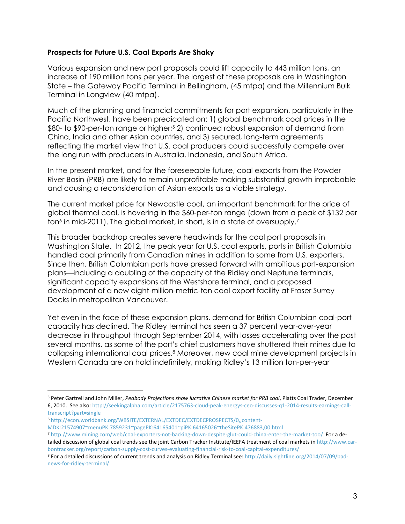## **Prospects for Future U.S. Coal Exports Are Shaky**

Various expansion and new port proposals could lift capacity to 443 million tons, an increase of 190 million tons per year. The largest of these proposals are in Washington State – the Gateway Pacific Terminal in Bellingham, (45 mtpa) and the Millennium Bulk Terminal in Longview (40 mtpa).

Much of the planning and financial commitments for port expansion, particularly in the Pacific Northwest, have been predicated on: 1) global benchmark coal prices in the \$80- to \$90-per-ton range or higher;<sup>5</sup> 2) continued robust expansion of demand from China, India and other Asian countries, and 3) secured, long-term agreements reflecting the market view that U.S. coal producers could successfully compete over the long run with producers in Australia, Indonesia, and South Africa.

In the present market, and for the foreseeable future, coal exports from the Powder River Basin (PRB) are likely to remain unprofitable making substantial growth improbable and causing a reconsideration of Asian exports as a viable strategy.

The current market price for Newcastle coal, an important benchmark for the price of global thermal coal, is hovering in the \$60-per-ton range (down from a peak of \$132 per ton<sup>6</sup> in mid-2011). The global market, in short, is in a state of oversupply.<sup>7</sup>

This broader backdrop creates severe headwinds for the coal port proposals in Washington State. In 2012, the peak year for U.S. coal exports, ports in British Columbia handled coal primarily from Canadian mines in addition to some from U.S. exporters. Since then, British Columbian ports have pressed forward with ambitious port-expansion plans—including a doubling of the capacity of the Ridley and Neptune terminals, significant capacity expansions at the Westshore terminal, and a proposed development of a new eight-million-metric-ton coal export facility at Fraser Surrey Docks in metropolitan Vancouver.

Yet even in the face of these expansion plans, demand for British Columbian coal-port capacity has declined. The Ridley terminal has seen a 37 [percent](http://www.rupertport.com/trade/performance/2014/9/30/pdf) year-over-year decrease in throughput through September 2014, with losses accelerating over the past several months, as some of the port's chief customers have shuttered their mines due to collapsing international coal prices.<sup>8</sup> Moreover, new coal mine development projects in Western Canada are on hold indefinitely, making Ridley's 13 million ton-per-year

<sup>6</sup> [http://econ.worldbank.org/WBSITE/EXTERNAL/EXTDEC/EXTDECPROSPECTS/0,,content-](http://econ.worldbank.org/WBSITE/EXTERNAL/EXTDEC/EXTDECPROSPECTS/0,,contentMDK:21574907~menuPK:7859231~pagePK:64165401~piPK:64165026~theSitePK:476883,00.html)

 $\overline{a}$ 

[MDK:21574907~menuPK:7859231~pagePK:64165401~piPK:64165026~theSitePK:476883,00.html](http://econ.worldbank.org/WBSITE/EXTERNAL/EXTDEC/EXTDECPROSPECTS/0,,contentMDK:21574907~menuPK:7859231~pagePK:64165401~piPK:64165026~theSitePK:476883,00.html)

<sup>5</sup> Peter Gartrell and John Miller, *Peabody Projections show lucrative Chinese market for PRB coal*, Platts Coal Trader, December 6, 2010. See also: [http://seekingalpha.com/article/2175763-cloud-peak-energys-ceo-discusses-q1-2014-results-earnings-call](http://seekingalpha.com/article/2175763-cloud-peak-energys-ceo-discusses-q1-2014-results-earnings-call-transcript?part=single)[transcript?part=single](http://seekingalpha.com/article/2175763-cloud-peak-energys-ceo-discusses-q1-2014-results-earnings-call-transcript?part=single)

<sup>7</sup> <http://www.mining.com/web/coal-exporters-not-backing-down-despite-glut-could-china-enter-the-market-too/>For a detailed discussion of global coal trends see the joint Carbon Tracker Institute/IEEFA treatment of coal markets in [http://www.car](http://www.carbontracker.org/report/carbon-supply-cost-curves-evaluating-financial-risk-to-coal-capital-expenditures/)[bontracker.org/report/carbon-supply-cost-curves-evaluating-financial-risk-to-coal-capital-expenditures/](http://www.carbontracker.org/report/carbon-supply-cost-curves-evaluating-financial-risk-to-coal-capital-expenditures/)

<sup>8</sup> For a detailed discussions of current trends and analysis on Ridley Terminal see: [http://daily.sightline.org/2014/07/09/bad](http://daily.sightline.org/2014/07/09/bad-news-for-ridley-terminal/)[news-for-ridley-terminal/](http://daily.sightline.org/2014/07/09/bad-news-for-ridley-terminal/)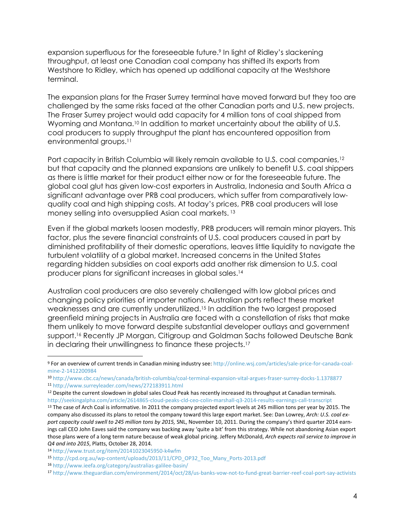expansion superfluous for the foreseeable future.<sup>9</sup> In light of Ridley's slackening throughput, at least one Canadian coal company has shifted its exports from Westshore to Ridley, which has opened up additional capacity at the Westshore terminal.

The expansion plans for the Fraser Surrey terminal have moved forward but they too are challenged by the same risks faced at the other Canadian ports and U.S. new projects. The Fraser Surrey project would add capacity for 4 million tons of coal shipped from Wyoming and Montana.<sup>10</sup> In addition to market uncertainty about the ability of U.S. coal producers to supply throughput the plant has encountered opposition from environmental groups.<sup>11</sup>

Port capacity in British Columbia will likely remain available to U.S. coal companies,<sup>12</sup> but that capacity and the planned expansions are unlikely to benefit U.S. coal shippers as there is little market for their product either now or for the foreseeable future. The global coal glut has given low-cost exporters in Australia, Indonesia and South Africa a significant advantage over PRB coal producers, which suffer from comparatively lowquality coal and high shipping costs. At today's prices, PRB coal producers will lose money selling into oversupplied Asian coal markets. <sup>13</sup>

Even if the global markets loosen modestly, PRB producers will remain minor players. This factor, plus the severe financial constraints of U.S. coal producers caused in part by diminished profitability of their domestic operations, leaves little liquidity to navigate the turbulent volatility of a global market. Increased concerns in the United States regarding hidden subsidies on coal exports add another risk dimension to U.S. coal producer plans for significant increases in global sales.<sup>14</sup>

Australian coal producers are also severely challenged with low global prices and changing policy priorities of importer nations. Australian ports reflect these market weaknesses and are currently underutilized.<sup>15</sup> In addition the two largest proposed greenfield mining projects in Australia are faced with a constellation of risks that make them unlikely to move forward despite substantial developer outlays and government support.<sup>16</sup> Recently JP Morgan, Citigroup and Goldman Sachs followed Deutsche Bank in declaring their unwillingness to finance these projects.<sup>17</sup>

 $\overline{a}$ 

<sup>9</sup> For an overview of current trends in Canadian mining industry see: [http://online.wsj.com/articles/sale-price-for-canada-coal](http://online.wsj.com/articles/sale-price-for-canada-coal-mine-2-1412200984)[mine-2-1412200984](http://online.wsj.com/articles/sale-price-for-canada-coal-mine-2-1412200984)

<sup>10</sup> <http://www.cbc.ca/news/canada/british-columbia/coal-terminal-expansion-vital-argues-fraser-surrey-docks-1.1378877> <sup>11</sup> <http://www.surreyleader.com/news/272183911.html>

<sup>12</sup> Despite the current slowdown in global sales Cloud Peak has recently increased its throughput at Canadian terminals. <http://seekingalpha.com/article/2614865-cloud-peaks-cld-ceo-colin-marshall-q3-2014-results-earnings-call-transcript>

<sup>&</sup>lt;sup>13</sup> The case of Arch Coal is informative. In 2011 the company projected export levels at 245 million tons per year by 2015. The company also discussed its plans to retool the company toward this large export market. See: Dan Lowrey, *Arch: U.S. coal export capacity could swell to 245 million tons by 2015,* SNL, November 10, 2011. During the company's third quarter 2014 earnings call CEO John Eaves said the company was backing away 'quite a bit' from this strategy. While not abandoning Asian export those plans were of a long term nature because of weak global pricing. Jeffery McDonald, *Arch expects rail service to improve in Q4 and into 2015*, Platts, October 28, 2014.

<sup>14</sup> <http://www.trust.org/item/20141023045950-k4wfm>

<sup>15</sup> [http://cpd.org.au/wp-content/uploads/2013/11/CPD\\_OP32\\_Too\\_Many\\_Ports-2013.pdf](http://cpd.org.au/wp-content/uploads/2013/11/CPD_OP32_Too_Many_Ports-2013.pdf)

<sup>16</sup> <http://www.ieefa.org/category/australias-galilee-basin/>

<sup>17</sup> <http://www.theguardian.com/environment/2014/oct/28/us-banks-vow-not-to-fund-great-barrier-reef-coal-port-say-activists>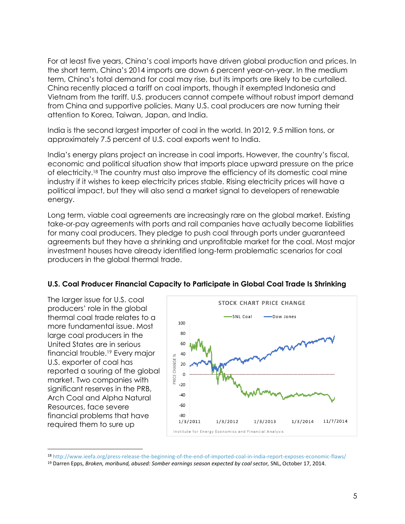For at least five years, China's coal imports have driven global production and prices. In the short term, China's 2014 imports are down 6 percent year-on-year. In the medium term, China's total demand for coal may rise, but its imports are likely to be curtailed. China recently placed a tariff on coal imports, though it exempted Indonesia and Vietnam from the tariff. U.S. producers cannot compete without robust import demand from China and supportive policies. Many U.S. coal producers are now turning their attention to Korea, Taiwan, Japan, and India.

India is the second largest importer of coal in the world. In 2012, 9.5 million tons, or approximately 7.5 percent of U.S. coal exports went to India.

India's energy plans project an increase in coal imports. However, the country's fiscal, economic and political situation show that imports place upward pressure on the price of electricity.<sup>18</sup> The country must also improve the efficiency of its domestic coal mine industry if it wishes to keep electricity prices stable. Rising electricity prices will have a political impact, but they will also send a market signal to developers of renewable energy.

Long term, viable coal agreements are increasingly rare on the global market. Existing take-or-pay agreements with ports and rail companies have actually become liabilities for many coal producers. They pledge to push coal through ports under guaranteed agreements but they have a shrinking and unprofitable market for the coal. Most major investment houses have already identified long-term problematic scenarios for coal producers in the global thermal trade.



### **U.S. Coal Producer Financial Capacity to Participate in Global Coal Trade Is Shrinking**

The larger issue for U.S. coal producers' role in the global thermal coal trade relates to a more fundamental issue. Most large coal producers in the United States are in serious financial trouble.<sup>19</sup> Every major

U.S. exporter of coal has

Resources, face severe

 $\overline{a}$ 

market. Two companies with significant reserves in the PRB, Arch Coal and Alpha Natural

financial problems that have required them to sure up

<sup>18</sup> <http://www.ieefa.org/press-release-the-beginning-of-the-end-of-imported-coal-in-india-report-exposes-economic-flaws/>

<sup>19</sup> Darren Epps, *Broken, moribund, abused: Somber earnings season expected by coal sector,* SNL, October 17, 2014.